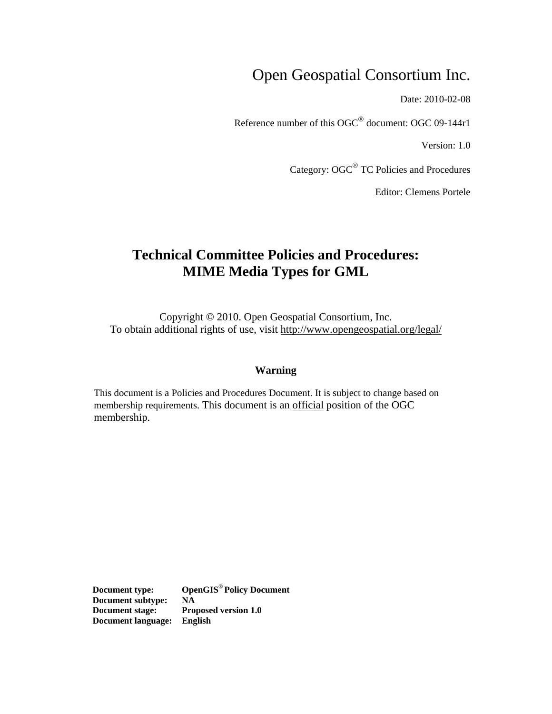## Open Geospatial Consortium Inc.

Date: 2010-02-08

Reference number of this OGC® document: OGC 09-144r1

Version: 1.0

Category: OGC® TC Policies and Procedures

Editor: Clemens Portele

## **Technical Committee Policies and Procedures: MIME Media Types for GML**

Copyright © 2010. Open Geospatial Consortium, Inc. To obtain additional rights of use, visit<http://www.opengeospatial.org/legal/>

#### **Warning**

This document is a Policies and Procedures Document. It is subject to change based on membership requirements. This document is an official position of the OGC membership.

**Document type: OpenGIS® Policy Document Document subtype: NA Document stage: Proposed version 1.0 Document language: English**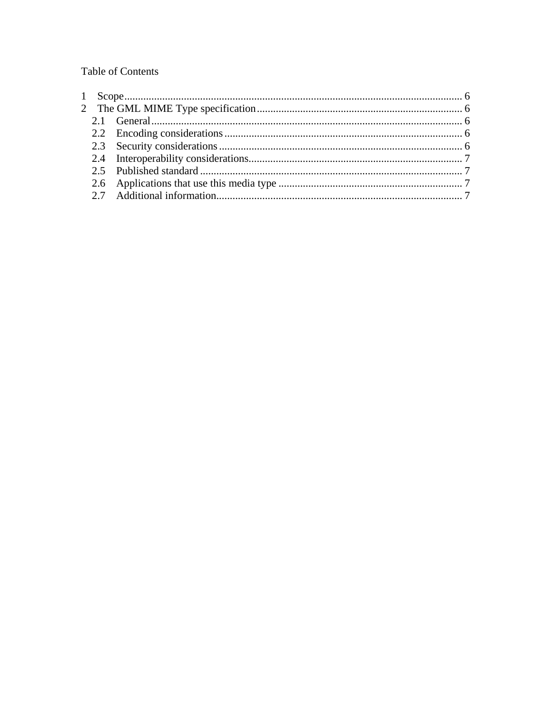**Table of Contents**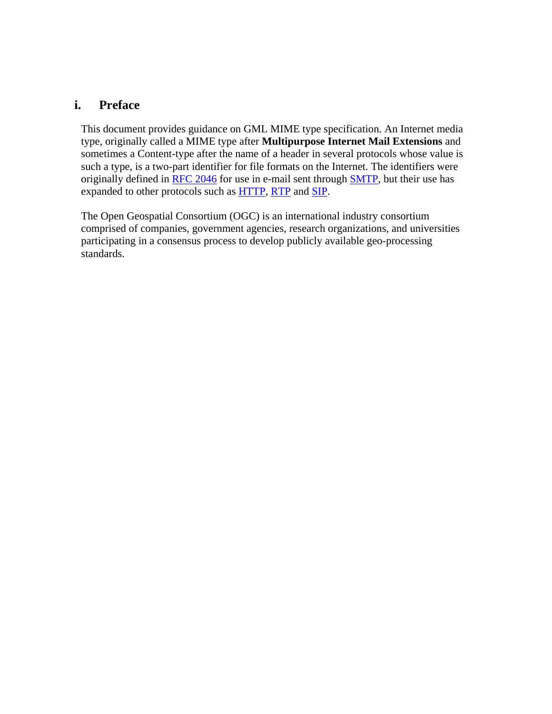### **i. Preface**

This document provides guidance on GML MIME type specification. An Internet media type, originally called a MIME type after **Multipurpose Internet Mail Extensions** and sometimes a Content-type after the name of a header in several protocols whose value is such a type, is a two-part identifier for file formats on the Internet. The identifiers were originally defined in [RFC 2046](http://tools.ietf.org/html/rfc2046) for use in e-mail sent through [SMTP,](http://en.wikipedia.org/wiki/Simple_Mail_Transfer_Protocol) but their use has expanded to other protocols such as [HTTP,](http://en.wikipedia.org/wiki/Hypertext_Transfer_Protocol) [RTP](http://en.wikipedia.org/wiki/Real-time_Transport_Protocol) and [SIP](http://en.wikipedia.org/wiki/Session_Initiation_Protocol).

The Open Geospatial Consortium (OGC) is an international industry consortium comprised of companies, government agencies, research organizations, and universities participating in a consensus process to develop publicly available geo-processing standards.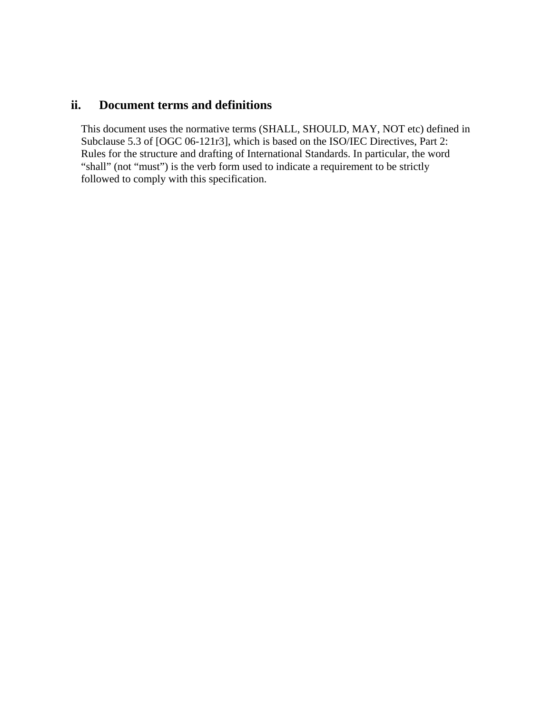### **ii. Document terms and definitions**

This document uses the normative terms (SHALL, SHOULD, MAY, NOT etc) defined in Subclause 5.3 of [OGC 06-121r3], which is based on the ISO/IEC Directives, Part 2: Rules for the structure and drafting of International Standards. In particular, the word "shall" (not "must") is the verb form used to indicate a requirement to be strictly followed to comply with this specification.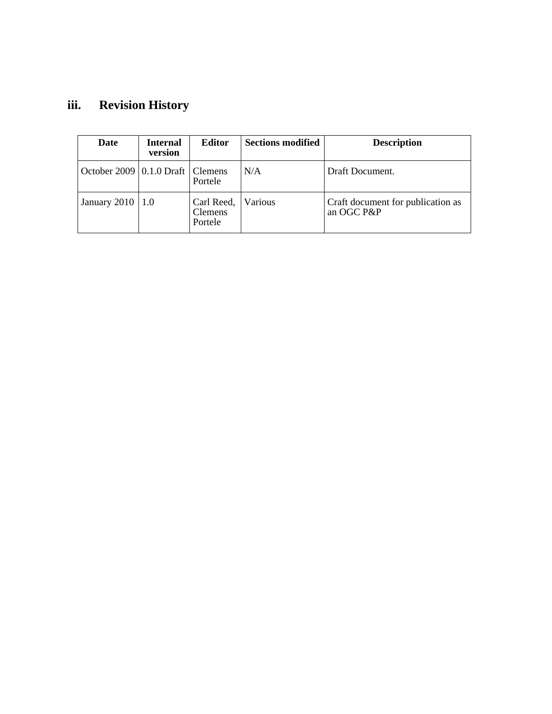# **iii. Revision History**

| Date                                   | <b>Internal</b><br>version | <b>Editor</b>                           | <b>Sections modified</b> | <b>Description</b>                              |
|----------------------------------------|----------------------------|-----------------------------------------|--------------------------|-------------------------------------------------|
| October 2009   $0.1.0$ Draft   Clemens |                            | Portele                                 | N/A                      | Draft Document.                                 |
| January 2010   1.0                     |                            | Carl Reed,<br><b>Clemens</b><br>Portele | Various                  | Craft document for publication as<br>an OGC P&P |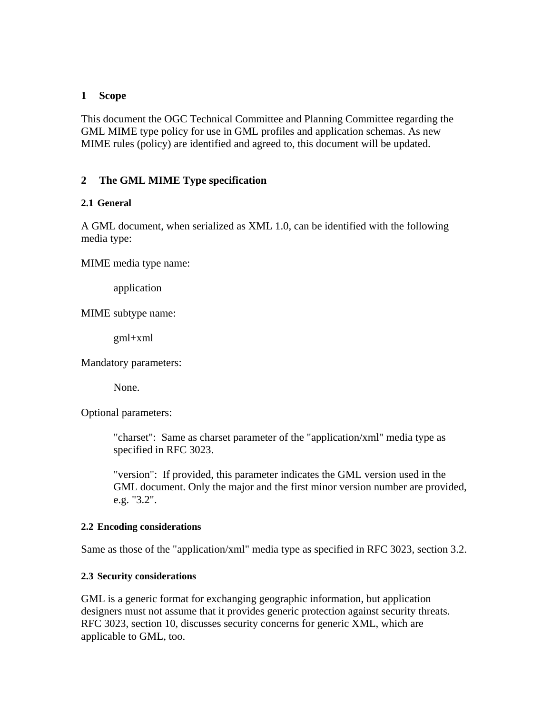#### <span id="page-5-0"></span>**1 Scope**

This document the OGC Technical Committee and Planning Committee regarding the GML MIME type policy for use in GML profiles and application schemas. As new MIME rules (policy) are identified and agreed to, this document will be updated.

#### **2 The GML MIME Type specification**

#### **2.1 General**

A GML document, when serialized as XML 1.0, can be identified with the following media type:

MIME media type name:

application

MIME subtype name:

gml+xml

Mandatory parameters:

None.

Optional parameters:

"charset": Same as charset parameter of the "application/xml" media type as specified in RFC 3023.

"version": If provided, this parameter indicates the GML version used in the GML document. Only the major and the first minor version number are provided, e.g. "3.2".

#### **2.2 Encoding considerations**

Same as those of the "application/xml" media type as specified in RFC 3023, section 3.2.

#### **2.3 Security considerations**

GML is a generic format for exchanging geographic information, but application designers must not assume that it provides generic protection against security threats. RFC 3023, section 10, discusses security concerns for generic XML, which are applicable to GML, too.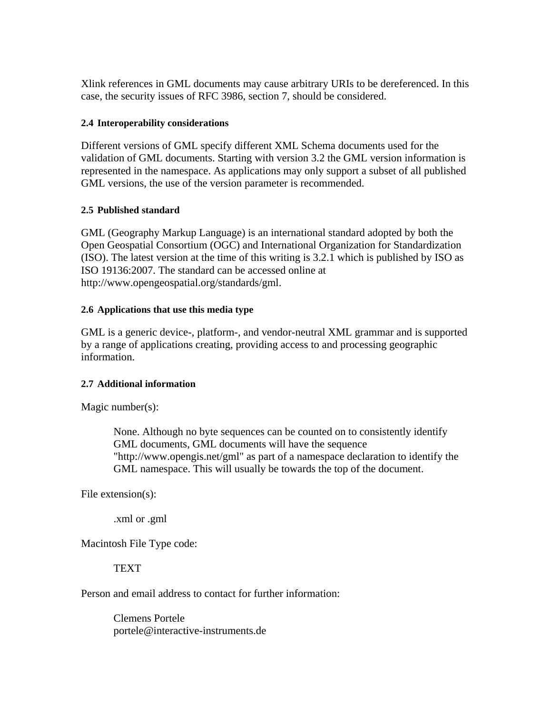<span id="page-6-0"></span>Xlink references in GML documents may cause arbitrary URIs to be dereferenced. In this case, the security issues of RFC 3986, section 7, should be considered.

#### **2.4 Interoperability considerations**

Different versions of GML specify different XML Schema documents used for the validation of GML documents. Starting with version 3.2 the GML version information is represented in the namespace. As applications may only support a subset of all published GML versions, the use of the version parameter is recommended.

#### **2.5 Published standard**

GML (Geography Markup Language) is an international standard adopted by both the Open Geospatial Consortium (OGC) and International Organization for Standardization (ISO). The latest version at the time of this writing is 3.2.1 which is published by ISO as ISO 19136:2007. The standard can be accessed online at http://www.opengeospatial.org/standards/gml.

#### **2.6 Applications that use this media type**

GML is a generic device-, platform-, and vendor-neutral XML grammar and is supported by a range of applications creating, providing access to and processing geographic information.

#### **2.7 Additional information**

Magic number(s):

None. Although no byte sequences can be counted on to consistently identify GML documents, GML documents will have the sequence "http://www.opengis.net/gml" as part of a namespace declaration to identify the GML namespace. This will usually be towards the top of the document.

File extension(s):

.xml or .gml

Macintosh File Type code:

**TEXT** 

Person and email address to contact for further information:

 Clemens Portele portele@interactive-instruments.de